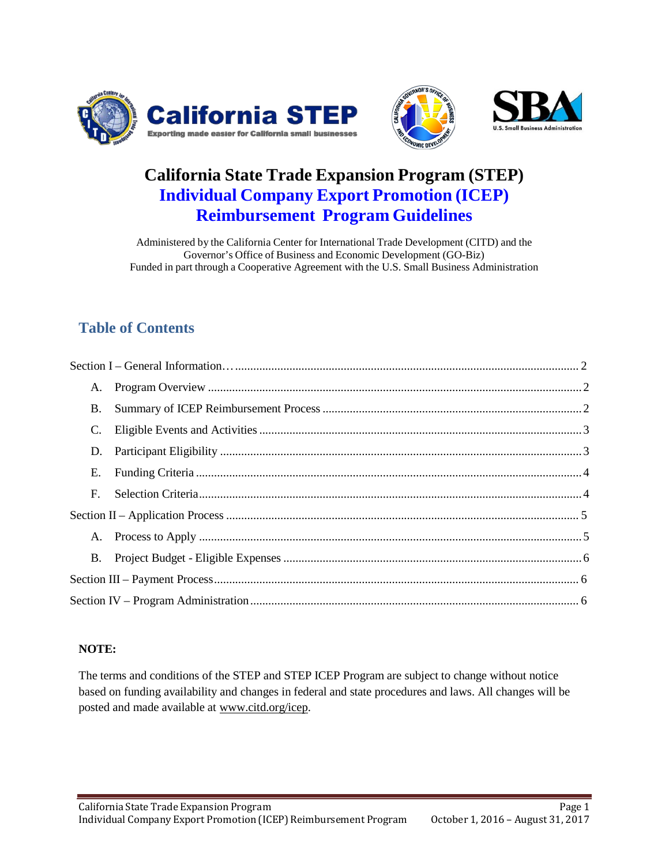



Page 1

# **California State Trade Expansion Program (STEP) Individual Company Export Promotion (ICEP) Reimbursement Program Guidelines**

Administered by the California Center for International Trade Development (CITD) and the Governor's Office of Business and Economic Development (GO-Biz) Funded in part through a Cooperative Agreement with the U.S. Small Business Administration

# **Table of Contents**

| A.          |  |  |
|-------------|--|--|
| <b>B</b> .  |  |  |
| C.          |  |  |
| D.          |  |  |
| E.          |  |  |
| $F_{\cdot}$ |  |  |
|             |  |  |
|             |  |  |
| <b>B.</b>   |  |  |
|             |  |  |
|             |  |  |

#### <span id="page-0-0"></span>**NOTE:**

The terms and conditions of the STEP and STEP ICEP Program are subject to change without notice based on funding availability and changes in federal and state procedures and laws. All changes will be posted and made available at [www.citd.org/icep.](http://www.citd.org/icep)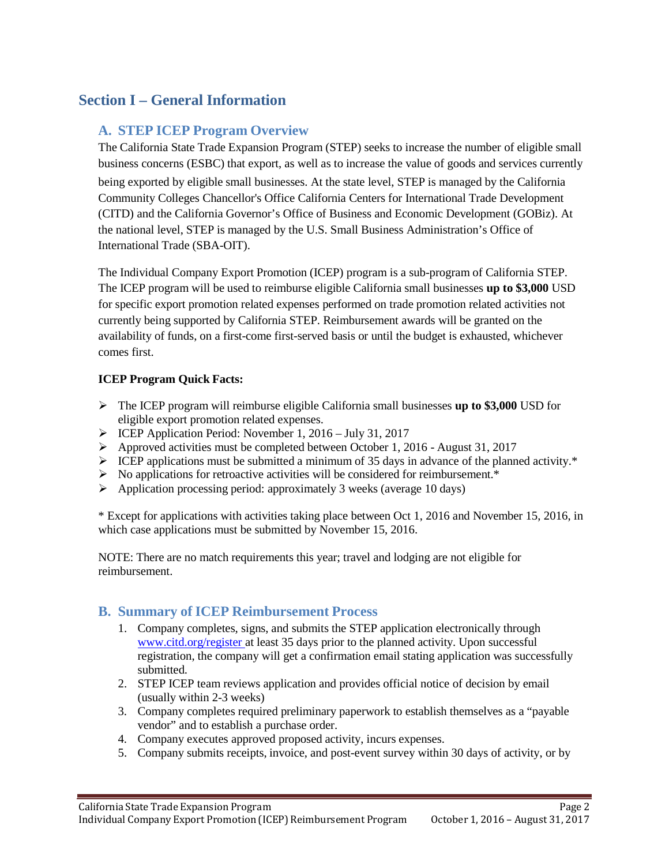# <span id="page-1-0"></span>**Section I – General Information**

# **A. STEP ICEP Program Overview**

The California State Trade Expansion Program (STEP) seeks to increase the number of eligible small business concerns (ESBC) that export, as well as to increase the value of goods and services currently being exported by eligible small businesses. At the state level, STEP is managed by the California Community Colleges Chancellor's Office California Centers for International Trade Development (CITD) and the California Governor's Office of Business and Economic Development (GOBiz). At the national level, STEP is managed by the U.S. Small Business Administration's Office of International Trade (SBA-OIT).

The Individual Company Export Promotion (ICEP) program is a sub-program of California STEP. The ICEP program will be used to reimburse eligible California small businesses **up to \$3,000** USD for specific export promotion related expenses performed on trade promotion related activities not currently being supported by California STEP. Reimbursement awards will be granted on the availability of funds, on a first-come first-served basis or until the budget is exhausted, whichever comes first.

#### **ICEP Program Quick Facts:**

- The ICEP program will reimburse eligible California small businesses **up to \$3,000** USD for eligible export promotion related expenses.
- ICEP Application Period: November 1, 2016 July 31, 2017
- $\triangleright$  Approved activities must be completed between October 1, 2016 August 31, 2017
- $\triangleright$  ICEP applications must be submitted a minimum of 35 days in advance of the planned activity.\*
- $\triangleright$  No applications for retroactive activities will be considered for reimbursement.\*
- $\triangleright$  Application processing period: approximately 3 weeks (average 10 days)

\* Except for applications with activities taking place between Oct 1, 2016 and November 15, 2016, in which case applications must be submitted by November 15, 2016.

NOTE: There are no match requirements this year; travel and lodging are not eligible for reimbursement.

## <span id="page-1-1"></span>**B. Summary of ICEP Reimbursement Process**

- 1. Company completes, signs, and submits the STEP application electronically through [www.citd.org/register](http://www.citd.org/register) at least 35 days prior to the planned activity. Upon successful registration, the company will get a confirmation email stating application was successfully submitted.
- 2. STEP ICEP team reviews application and provides official notice of decision by email (usually within 2-3 weeks)
- 3. Company completes required preliminary paperwork to establish themselves as a "payable vendor" and to establish a purchase order.
- 4. Company executes approved proposed activity, incurs expenses.
- 5. Company submits receipts, invoice, and post-event survey within 30 days of activity, or by

Page 2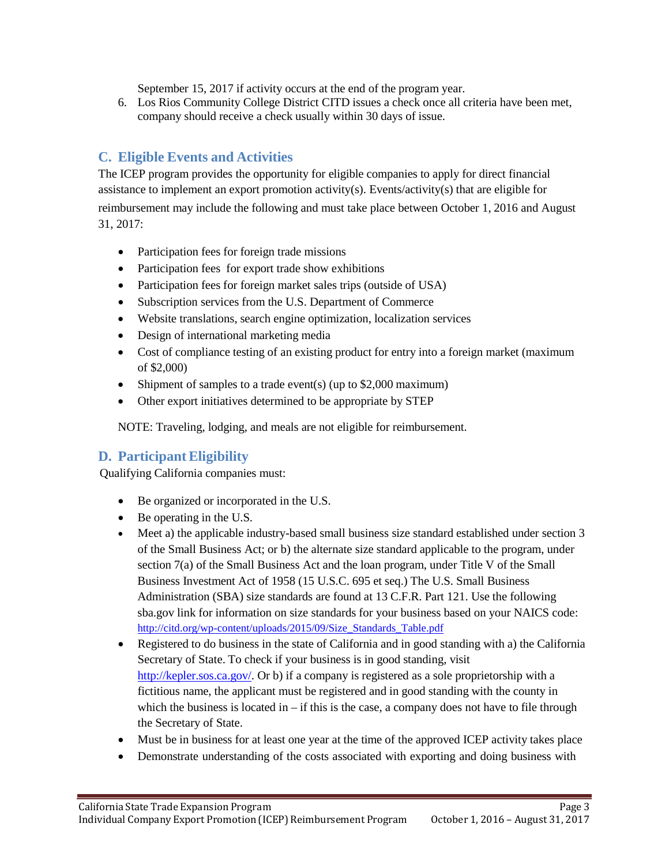September 15, 2017 if activity occurs at the end of the program year.

6. Los Rios Community College District CITD issues a check once all criteria have been met, company should receive a check usually within 30 days of issue.

# <span id="page-2-0"></span>**C. Eligible Events and Activities**

The ICEP program provides the opportunity for eligible companies to apply for direct financial assistance to implement an export promotion activity(s). Events/activity(s) that are eligible for reimbursement may include the following and must take place between October 1, 2016 and August 31, 2017:

- Participation fees for foreign trade missions
- Participation fees for export trade show exhibitions
- Participation fees for foreign market sales trips (outside of USA)
- Subscription services from the U.S. Department of Commerce
- Website translations, search engine optimization, localization services
- Design of international marketing media
- Cost of compliance testing of an existing product for entry into a foreign market (maximum of \$2,000)
- Shipment of samples to a trade event(s) (up to \$2,000 maximum)
- Other export initiatives determined to be appropriate by STEP

NOTE: Traveling, lodging, and meals are not eligible for reimbursement.

## <span id="page-2-1"></span>**D. ParticipantEligibility**

Qualifying California companies must:

- Be organized or incorporated in the U.S.
- Be operating in the U.S.
- Meet a) the applicable industry-based small business size standard established under section 3 of the Small Business Act; or b) the alternate size standard applicable to the program, under section 7(a) of the Small Business Act and the loan program, under Title V of the Small Business Investment Act of 1958 (15 U.S.C. 695 et seq.) The U.S. Small Business Administration (SBA) size standards are found at 13 C.F.R. Part 121. Use the following sba.gov link for information on size standards for your business based on your NAICS code: [http://citd.org/wp-content/uploads/2015/09/Size\\_Standards\\_Table.pdf](http://citd.org/wp-content/uploads/2015/09/Size_Standards_Table.pdf)
- Registered to do business in the state of California and in good standing with a) the California Secretary of State. To check if your business is in good standing, visit [http://kepler.sos.ca.gov/.](http://kepler.sos.ca.gov/) Or b) if a company is registered as a sole proprietorship with a fictitious name, the applicant must be registered and in good standing with the county in which the business is located in  $-$  if this is the case, a company does not have to file through the Secretary of State.
- Must be in business for at least one year at the time of the approved ICEP activity takes place
- Demonstrate understanding of the costs associated with exporting and doing business with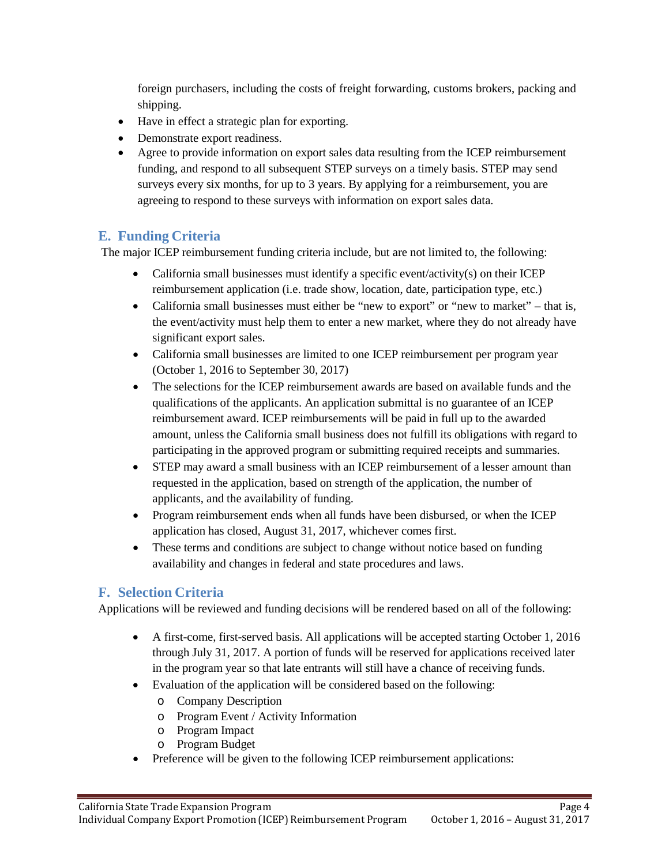foreign purchasers, including the costs of freight forwarding, customs brokers, packing and shipping.

- Have in effect a strategic plan for exporting.
- Demonstrate export readiness.
- Agree to provide information on export sales data resulting from the ICEP reimbursement funding, and respond to all subsequent STEP surveys on a timely basis. STEP may send surveys every six months, for up to 3 years. By applying for a reimbursement, you are agreeing to respond to these surveys with information on export sales data.

## <span id="page-3-0"></span>**E. Funding Criteria**

The major ICEP reimbursement funding criteria include, but are not limited to, the following:

- California small businesses must identify a specific event/activity(s) on their ICEP reimbursement application (i.e. trade show, location, date, participation type, etc.)
- California small businesses must either be "new to export" or "new to market" that is, the event/activity must help them to enter a new market, where they do not already have significant export sales.
- California small businesses are limited to one ICEP reimbursement per program year (October 1, 2016 to September 30, 2017)
- The selections for the ICEP reimbursement awards are based on available funds and the qualifications of the applicants. An application submittal is no guarantee of an ICEP reimbursement award. ICEP reimbursements will be paid in full up to the awarded amount, unless the California small business does not fulfill its obligations with regard to participating in the approved program or submitting required receipts and summaries.
- STEP may award a small business with an ICEP reimbursement of a lesser amount than requested in the application, based on strength of the application, the number of applicants, and the availability of funding.
- Program reimbursement ends when all funds have been disbursed, or when the ICEP application has closed, August 31, 2017, whichever comes first.
- These terms and conditions are subject to change without notice based on funding availability and changes in federal and state procedures and laws.

#### <span id="page-3-1"></span>**F. Selection Criteria**

Applications will be reviewed and funding decisions will be rendered based on all of the following:

- A first-come, first-served basis. All applications will be accepted starting October 1, 2016 through July 31, 2017. A portion of funds will be reserved for applications received later in the program year so that late entrants will still have a chance of receiving funds.
- Evaluation of the application will be considered based on the following:
	- o Company Description
	- o Program Event / Activity Information
	- o Program Impact
	- o Program Budget
- Preference will be given to the following ICEP reimbursement applications: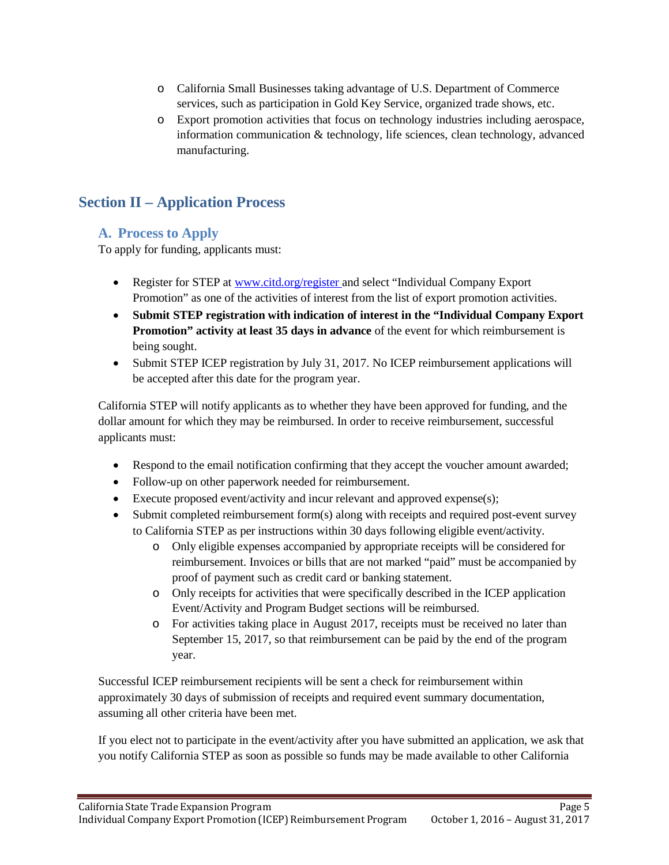- o California Small Businesses taking advantage of U.S. Department of Commerce services, such as participation in Gold Key Service, organized trade shows, etc.
- o Export promotion activities that focus on technology industries including aerospace, information communication & technology, life sciences, clean technology, advanced manufacturing.

# <span id="page-4-1"></span><span id="page-4-0"></span>**Section II – Application Process**

# **A. Process to Apply**

To apply for funding, applicants must:

- Register for STEP at [www.citd.org/register](http://www.citd.org/register) and select "Individual Company Export Promotion" as one of the activities of interest from the list of export promotion activities.
- **Submit STEP registration with indication of interest in the "Individual Company Export Promotion" activity at least 35 days in advance** of the event for which reimbursement is being sought.
- Submit STEP ICEP registration by July 31, 2017. No ICEP reimbursement applications will be accepted after this date for the program year.

California STEP will notify applicants as to whether they have been approved for funding, and the dollar amount for which they may be reimbursed. In order to receive reimbursement, successful applicants must:

- Respond to the email notification confirming that they accept the voucher amount awarded;
- Follow-up on other paperwork needed for reimbursement.
- Execute proposed event/activity and incur relevant and approved expense(s);
- Submit completed reimbursement form(s) along with receipts and required post-event survey to California STEP as per instructions within 30 days following eligible event/activity.
	- o Only eligible expenses accompanied by appropriate receipts will be considered for reimbursement. Invoices or bills that are not marked "paid" must be accompanied by proof of payment such as credit card or banking statement.
	- o Only receipts for activities that were specifically described in the ICEP application Event/Activity and Program Budget sections will be reimbursed.
	- o For activities taking place in August 2017, receipts must be received no later than September 15, 2017, so that reimbursement can be paid by the end of the program year.

Successful ICEP reimbursement recipients will be sent a check for reimbursement within approximately 30 days of submission of receipts and required event summary documentation, assuming all other criteria have been met.

If you elect not to participate in the event/activity after you have submitted an application, we ask that you notify California STEP as soon as possible so funds may be made available to other California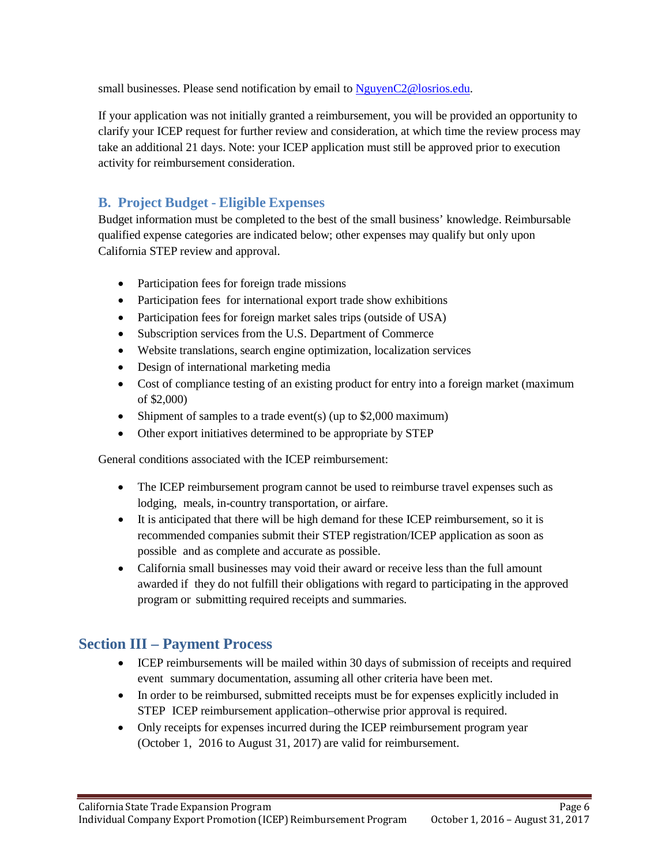small businesses. Please send notification by email to [NguyenC2@losrios.edu.](mailto:NguyenC2@losrios.edu)

If your application was not initially granted a reimbursement, you will be provided an opportunity to clarify your ICEP request for further review and consideration, at which time the review process may take an additional 21 days. Note: your ICEP application must still be approved prior to execution activity for reimbursement consideration.

# <span id="page-5-0"></span>**B. Project Budget - Eligible Expenses**

Budget information must be completed to the best of the small business' knowledge. Reimbursable qualified expense categories are indicated below; other expenses may qualify but only upon California STEP review and approval.

- Participation fees for foreign trade missions
- Participation fees for international export trade show exhibitions
- Participation fees for foreign market sales trips (outside of USA)
- Subscription services from the U.S. Department of Commerce
- Website translations, search engine optimization, localization services
- Design of international marketing media
- Cost of compliance testing of an existing product for entry into a foreign market (maximum of \$2,000)
- Shipment of samples to a trade event(s) (up to \$2,000 maximum)
- Other export initiatives determined to be appropriate by STEP

General conditions associated with the ICEP reimbursement:

- The ICEP reimbursement program cannot be used to reimburse travel expenses such as lodging, meals, in-country transportation, or airfare.
- It is anticipated that there will be high demand for these ICEP reimbursement, so it is recommended companies submit their STEP registration/ICEP application as soon as possible and as complete and accurate as possible.
- California small businesses may void their award or receive less than the full amount awarded if they do not fulfill their obligations with regard to participating in the approved program or submitting required receipts and summaries.

# <span id="page-5-1"></span>**Section III – Payment Process**

• ICEP reimbursements will be mailed within 30 days of submission of receipts and required event summary documentation, assuming all other criteria have been met.

Page 6

- In order to be reimbursed, submitted receipts must be for expenses explicitly included in STEP ICEP reimbursement application–otherwise prior approval is required.
- Only receipts for expenses incurred during the ICEP reimbursement program year (October 1, 2016 to August 31, 2017) are valid for reimbursement.